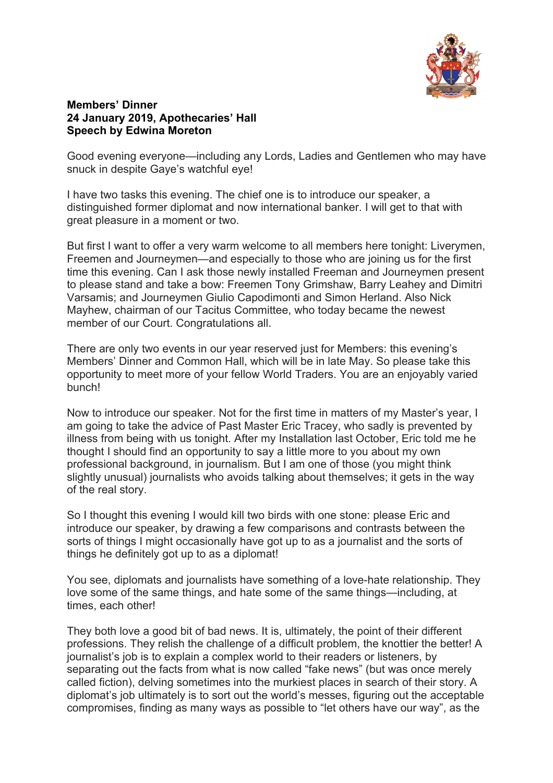

## **Members' Dinner 24 January 2019, Apothecaries' Hall Speech by Edwina Moreton**

Good evening everyone—including any Lords, Ladies and Gentlemen who may have snuck in despite Gaye's watchful eye!

I have two tasks this evening. The chief one is to introduce our speaker, a distinguished former diplomat and now international banker. I will get to that with great pleasure in a moment or two.

But first I want to offer a very warm welcome to all members here tonight: Liverymen, Freemen and Journeymen—and especially to those who are joining us for the first time this evening. Can I ask those newly installed Freeman and Journeymen present to please stand and take a bow: Freemen Tony Grimshaw, Barry Leahey and Dimitri Varsamis; and Journeymen Giulio Capodimonti and Simon Herland. Also Nick Mayhew, chairman of our Tacitus Committee, who today became the newest member of our Court. Congratulations all.

There are only two events in our year reserved just for Members: this evening's Members' Dinner and Common Hall, which will be in late May. So please take this opportunity to meet more of your fellow World Traders. You are an enjoyably varied bunch!

Now to introduce our speaker. Not for the first time in matters of my Master's year, I am going to take the advice of Past Master Eric Tracey, who sadly is prevented by illness from being with us tonight. After my Installation last October, Eric told me he thought I should find an opportunity to say a little more to you about my own professional background, in journalism. But I am one of those (you might think slightly unusual) journalists who avoids talking about themselves; it gets in the way of the real story.

So I thought this evening I would kill two birds with one stone: please Eric and introduce our speaker, by drawing a few comparisons and contrasts between the sorts of things I might occasionally have got up to as a journalist and the sorts of things he definitely got up to as a diplomat!

You see, diplomats and journalists have something of a love-hate relationship. They love some of the same things, and hate some of the same things—including, at times, each other!

They both love a good bit of bad news. It is, ultimately, the point of their different professions. They relish the challenge of a difficult problem, the knottier the better! A journalist's job is to explain a complex world to their readers or listeners, by separating out the facts from what is now called "fake news" (but was once merely called fiction), delving sometimes into the murkiest places in search of their story. A diplomat's job ultimately is to sort out the world's messes, figuring out the acceptable compromises, finding as many ways as possible to "let others have our way", as the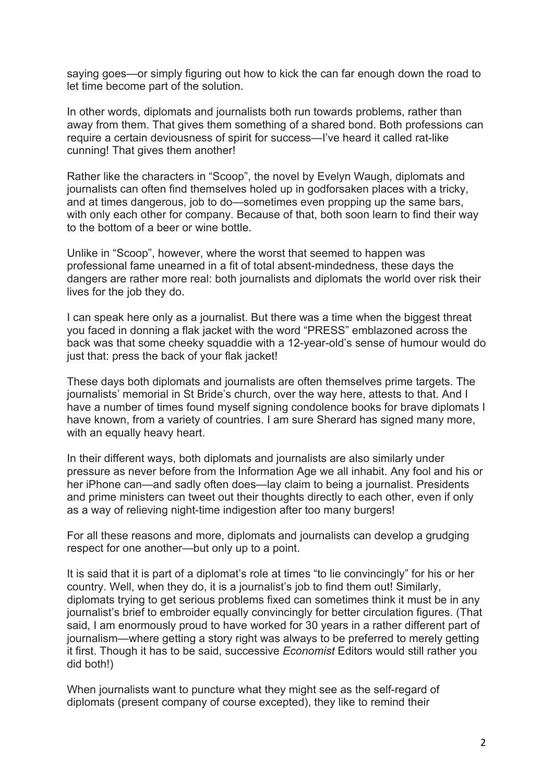saying goes—or simply figuring out how to kick the can far enough down the road to let time become part of the solution.

In other words, diplomats and journalists both run towards problems, rather than away from them. That gives them something of a shared bond. Both professions can require a certain deviousness of spirit for success—I've heard it called rat-like cunning! That gives them another!

Rather like the characters in "Scoop", the novel by Evelyn Waugh, diplomats and journalists can often find themselves holed up in godforsaken places with a tricky, and at times dangerous, job to do—sometimes even propping up the same bars, with only each other for company. Because of that, both soon learn to find their way to the bottom of a beer or wine bottle.

Unlike in "Scoop", however, where the worst that seemed to happen was professional fame unearned in a fit of total absent-mindedness, these days the dangers are rather more real: both journalists and diplomats the world over risk their lives for the job they do.

I can speak here only as a journalist. But there was a time when the biggest threat you faced in donning a flak jacket with the word "PRESS" emblazoned across the back was that some cheeky squaddie with a 12-year-old's sense of humour would do just that: press the back of your flak jacket!

These days both diplomats and journalists are often themselves prime targets. The journalists' memorial in St Bride's church, over the way here, attests to that. And I have a number of times found myself signing condolence books for brave diplomats I have known, from a variety of countries. I am sure Sherard has signed many more, with an equally heavy heart.

In their different ways, both diplomats and journalists are also similarly under pressure as never before from the Information Age we all inhabit. Any fool and his or her iPhone can—and sadly often does—lay claim to being a journalist. Presidents and prime ministers can tweet out their thoughts directly to each other, even if only as a way of relieving night-time indigestion after too many burgers!

For all these reasons and more, diplomats and journalists can develop a grudging respect for one another—but only up to a point.

It is said that it is part of a diplomat's role at times "to lie convincingly" for his or her country. Well, when they do, it is a journalist's job to find them out! Similarly, diplomats trying to get serious problems fixed can sometimes think it must be in any journalist's brief to embroider equally convincingly for better circulation figures. (That said, I am enormously proud to have worked for 30 years in a rather different part of journalism—where getting a story right was always to be preferred to merely getting it first. Though it has to be said, successive *Economist* Editors would still rather you did both!)

When journalists want to puncture what they might see as the self-regard of diplomats (present company of course excepted), they like to remind their